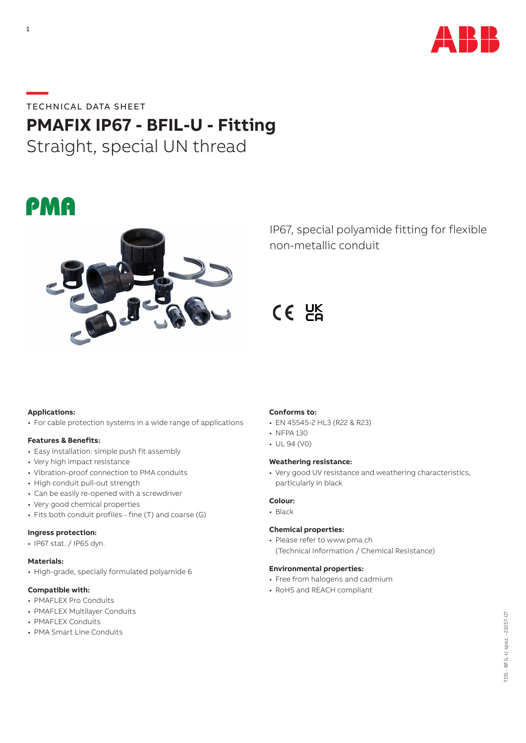

# **—**TECHNICAL DATA SHEET

# **PMAFIX IP67 - BFIL-U - Fitting**

Straight, special UN thread





IP67, special polyamide fitting for flexible non-metallic conduit

 $CE$   $BE$ 

#### **Applications:**

• For cable protection systems in a wide range of applications

#### **Features & Benefits:**

- Easy installation: simple push fit assembly
- Very high impact resistance
- Vibration-proof connection to PMA conduits
- High conduit pull-out strength
- Can be easily re-opened with a screwdriver
- Very good chemical properties
- Fits both conduit profiles fine (T) and coarse (G)

### **Ingress protection:**

• IP67 stat. / IP65 dyn.

#### **Materials:**

• High-grade, specially formulated polyamide 6

# **Compatible with:**

- PMAFLEX Pro Conduits
- PMAFLEX Multilayer Conduits
- PMAFLEX Conduits
- PMA Smart Line Conduits

### **Conforms to:**

- EN 45545-2 HL3 (R22 & R23)
- NFPA 130
- UL 94 (V0)

#### **Weathering resistance:**

• Very good UV resistance and weathering characteristics, particularly in black

#### **Colour:**

• Black

# **Chemical properties:**

• Please refer to www.pma.ch (Technical Information / Chemical Resistance)

#### **Environmental properties:**

- Free from halogens and cadmium
- RoHS and REACH compliant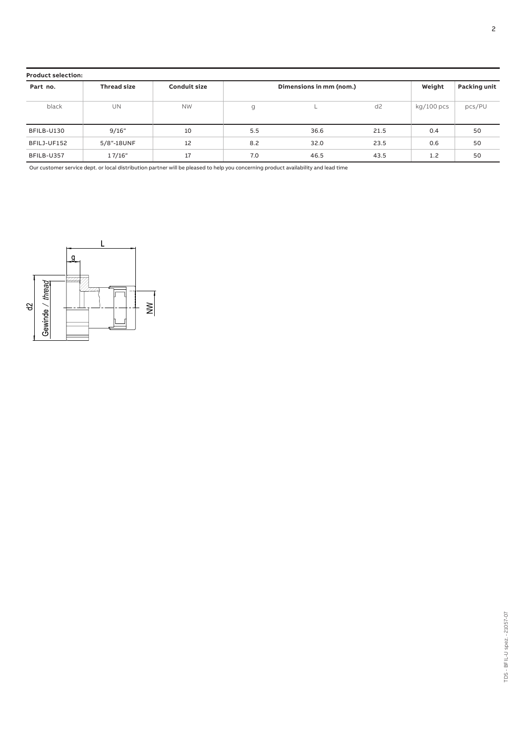| <b>Product selection:</b> |                    |                     |                         |      |                |                     |        |
|---------------------------|--------------------|---------------------|-------------------------|------|----------------|---------------------|--------|
| Part no.                  | <b>Thread size</b> | <b>Conduit size</b> | Dimensions in mm (nom.) |      | Weight         | <b>Packing unit</b> |        |
| black                     | UN                 | <b>NW</b>           | g                       |      | d <sub>2</sub> | kg/100 pcs          | pcs/PU |
| BFILB-U130                | 9/16"              | 10                  | 5.5                     | 36.6 | 21.5           | 0.4                 | 50     |
| BFILJ-UF152               | 5/8"-18UNF         | 12                  | 8.2                     | 32.0 | 23.5           | 0.6                 | 50     |
| BFILB-U357                | 17/16"             | 17                  | 7.0                     | 46.5 | 43.5           | 1.2                 | 50     |

Our customer service dept. or local distribution partner will be pleased to help you concerning product availability and lead time